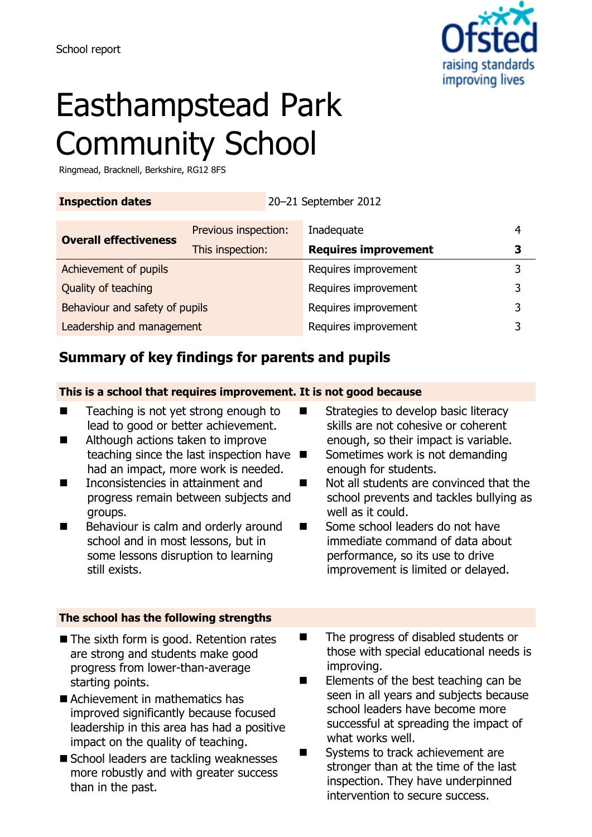

# Easthampstead Park Community School

Ringmead, Bracknell, Berkshire, RG12 8FS

**Inspection dates** 20–21 September 2012

| <b>Overall effectiveness</b>   | Previous inspection: | Inadequate                  |   |
|--------------------------------|----------------------|-----------------------------|---|
|                                | This inspection:     | <b>Requires improvement</b> | З |
| Achievement of pupils          |                      | Requires improvement        |   |
| Quality of teaching            |                      | Requires improvement        | 3 |
| Behaviour and safety of pupils |                      | Requires improvement        | ર |
| Leadership and management      |                      | Requires improvement        |   |

## **Summary of key findings for parents and pupils**

#### **This is a school that requires improvement. It is not good because**

- Teaching is not yet strong enough to lead to good or better achievement.
- Although actions taken to improve teaching since the last inspection have  $\blacksquare$ had an impact, more work is needed.
- Inconsistencies in attainment and progress remain between subjects and groups.
- Behaviour is calm and orderly around school and in most lessons, but in some lessons disruption to learning still exists.

#### **The school has the following strengths**

- The sixth form is good. Retention rates are strong and students make good progress from lower-than-average starting points.
- Achievement in mathematics has improved significantly because focused leadership in this area has had a positive impact on the quality of teaching.
- School leaders are tackling weaknesses more robustly and with greater success than in the past.
- Strategies to develop basic literacy skills are not cohesive or coherent enough, so their impact is variable.
	- Sometimes work is not demanding enough for students.
- Not all students are convinced that the school prevents and tackles bullying as well as it could.
- Some school leaders do not have immediate command of data about performance, so its use to drive improvement is limited or delayed.
- The progress of disabled students or those with special educational needs is improving.
- $\blacksquare$  Elements of the best teaching can be seen in all years and subjects because school leaders have become more successful at spreading the impact of what works well.
- Systems to track achievement are stronger than at the time of the last inspection. They have underpinned intervention to secure success.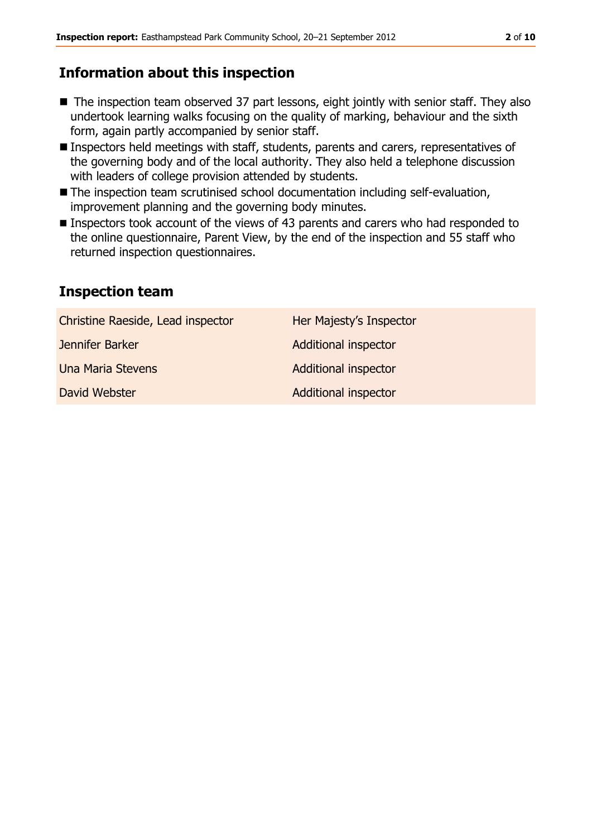### **Information about this inspection**

- The inspection team observed 37 part lessons, eight jointly with senior staff. They also undertook learning walks focusing on the quality of marking, behaviour and the sixth form, again partly accompanied by senior staff.
- Inspectors held meetings with staff, students, parents and carers, representatives of the governing body and of the local authority. They also held a telephone discussion with leaders of college provision attended by students.
- The inspection team scrutinised school documentation including self-evaluation, improvement planning and the governing body minutes.
- Inspectors took account of the views of 43 parents and carers who had responded to the online questionnaire, Parent View, by the end of the inspection and 55 staff who returned inspection questionnaires.

### **Inspection team**

| Her Majesty's Inspector     |
|-----------------------------|
| <b>Additional inspector</b> |
| <b>Additional inspector</b> |
| <b>Additional inspector</b> |
|                             |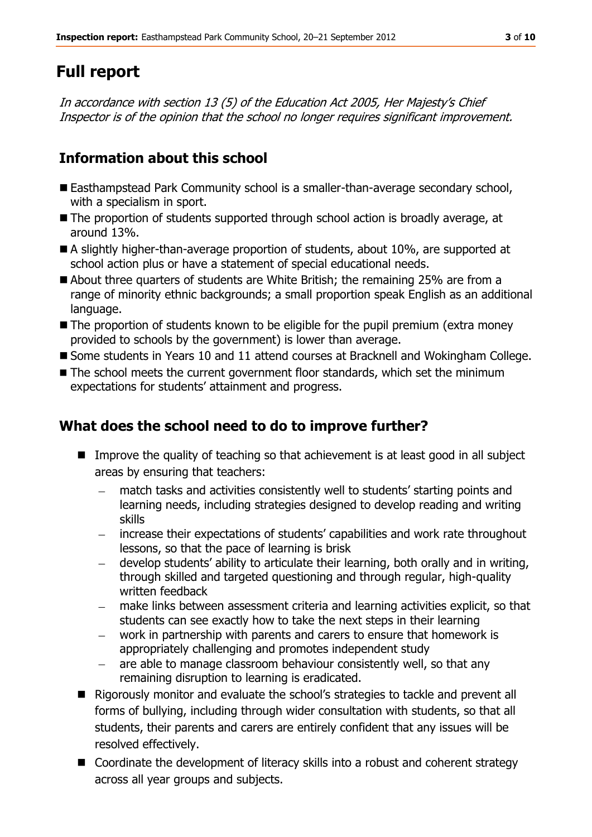# **Full report**

In accordance with section 13 (5) of the Education Act 2005, Her Majesty's Chief Inspector is of the opinion that the school no longer requires significant improvement.

# **Information about this school**

- Easthampstead Park Community school is a smaller-than-average secondary school, with a specialism in sport.
- The proportion of students supported through school action is broadly average, at around 13%.
- A slightly higher-than-average proportion of students, about 10%, are supported at school action plus or have a statement of special educational needs.
- About three quarters of students are White British; the remaining 25% are from a range of minority ethnic backgrounds; a small proportion speak English as an additional language.
- The proportion of students known to be eligible for the pupil premium (extra money provided to schools by the government) is lower than average.
- Some students in Years 10 and 11 attend courses at Bracknell and Wokingham College.
- The school meets the current government floor standards, which set the minimum expectations for students' attainment and progress.

# **What does the school need to do to improve further?**

- Improve the quality of teaching so that achievement is at least good in all subject areas by ensuring that teachers:
	- match tasks and activities consistently well to students' starting points and learning needs, including strategies designed to develop reading and writing skills
	- increase their expectations of students' capabilities and work rate throughout lessons, so that the pace of learning is brisk
	- develop students' ability to articulate their learning, both orally and in writing, through skilled and targeted questioning and through regular, high-quality written feedback
	- make links between assessment criteria and learning activities explicit, so that students can see exactly how to take the next steps in their learning
	- work in partnership with parents and carers to ensure that homework is appropriately challenging and promotes independent study
	- are able to manage classroom behaviour consistently well, so that any  $\qquad \qquad$ remaining disruption to learning is eradicated.
- Rigorously monitor and evaluate the school's strategies to tackle and prevent all forms of bullying, including through wider consultation with students, so that all students, their parents and carers are entirely confident that any issues will be resolved effectively.
- Coordinate the development of literacy skills into a robust and coherent strategy across all year groups and subjects.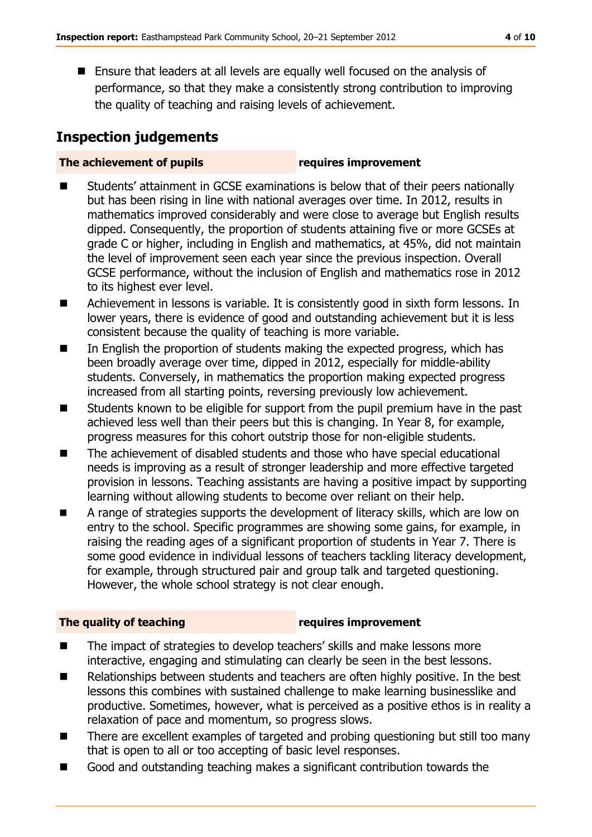■ Ensure that leaders at all levels are equally well focused on the analysis of performance, so that they make a consistently strong contribution to improving the quality of teaching and raising levels of achievement.

# **Inspection judgements**

#### **The achievement of pupils requires improvement**

- Students' attainment in GCSE examinations is below that of their peers nationally but has been rising in line with national averages over time. In 2012, results in mathematics improved considerably and were close to average but English results dipped. Consequently, the proportion of students attaining five or more GCSEs at grade C or higher, including in English and mathematics, at 45%, did not maintain the level of improvement seen each year since the previous inspection. Overall GCSE performance, without the inclusion of English and mathematics rose in 2012 to its highest ever level.
- Achievement in lessons is variable. It is consistently good in sixth form lessons. In lower years, there is evidence of good and outstanding achievement but it is less consistent because the quality of teaching is more variable.
- In English the proportion of students making the expected progress, which has been broadly average over time, dipped in 2012, especially for middle-ability students. Conversely, in mathematics the proportion making expected progress increased from all starting points, reversing previously low achievement.
- Students known to be eligible for support from the pupil premium have in the past achieved less well than their peers but this is changing. In Year 8, for example, progress measures for this cohort outstrip those for non-eligible students.
- The achievement of disabled students and those who have special educational needs is improving as a result of stronger leadership and more effective targeted provision in lessons. Teaching assistants are having a positive impact by supporting learning without allowing students to become over reliant on their help.
- A range of strategies supports the development of literacy skills, which are low on entry to the school. Specific programmes are showing some gains, for example, in raising the reading ages of a significant proportion of students in Year 7. There is some good evidence in individual lessons of teachers tackling literacy development, for example, through structured pair and group talk and targeted questioning. However, the whole school strategy is not clear enough.

### **The quality of teaching requires improvement**

- The impact of strategies to develop teachers' skills and make lessons more interactive, engaging and stimulating can clearly be seen in the best lessons.
- Relationships between students and teachers are often highly positive. In the best lessons this combines with sustained challenge to make learning businesslike and productive. Sometimes, however, what is perceived as a positive ethos is in reality a relaxation of pace and momentum, so progress slows.
- There are excellent examples of targeted and probing questioning but still too many that is open to all or too accepting of basic level responses.
- Good and outstanding teaching makes a significant contribution towards the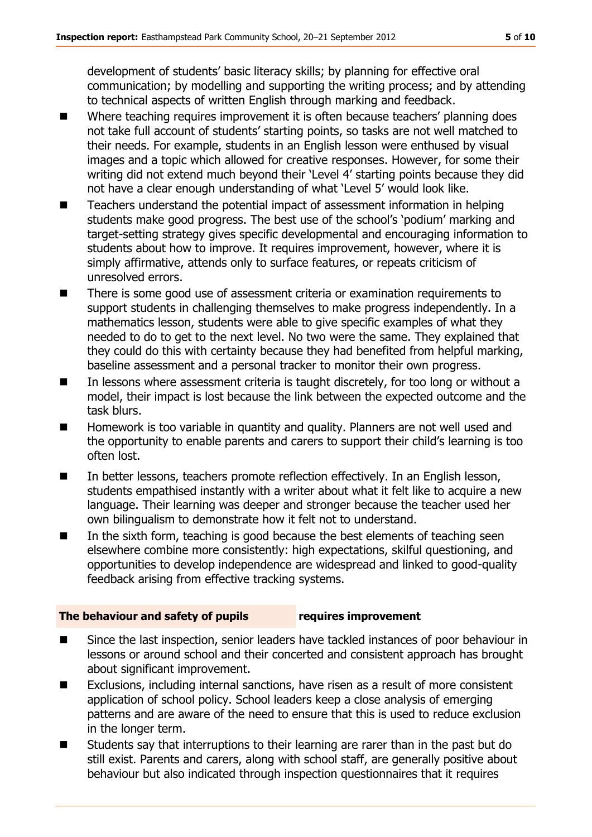development of students' basic literacy skills; by planning for effective oral communication; by modelling and supporting the writing process; and by attending to technical aspects of written English through marking and feedback.

- Where teaching requires improvement it is often because teachers' planning does not take full account of students' starting points, so tasks are not well matched to their needs. For example, students in an English lesson were enthused by visual images and a topic which allowed for creative responses. However, for some their writing did not extend much beyond their 'Level 4' starting points because they did not have a clear enough understanding of what 'Level 5' would look like.
- Teachers understand the potential impact of assessment information in helping students make good progress. The best use of the school's 'podium' marking and target-setting strategy gives specific developmental and encouraging information to students about how to improve. It requires improvement, however, where it is simply affirmative, attends only to surface features, or repeats criticism of unresolved errors.
- There is some good use of assessment criteria or examination requirements to support students in challenging themselves to make progress independently. In a mathematics lesson, students were able to give specific examples of what they needed to do to get to the next level. No two were the same. They explained that they could do this with certainty because they had benefited from helpful marking, baseline assessment and a personal tracker to monitor their own progress.
- In lessons where assessment criteria is taught discretely, for too long or without a model, their impact is lost because the link between the expected outcome and the task blurs.
- Homework is too variable in quantity and quality. Planners are not well used and the opportunity to enable parents and carers to support their child's learning is too often lost.
- In better lessons, teachers promote reflection effectively. In an English lesson, students empathised instantly with a writer about what it felt like to acquire a new language. Their learning was deeper and stronger because the teacher used her own bilingualism to demonstrate how it felt not to understand.
- $\blacksquare$  In the sixth form, teaching is good because the best elements of teaching seen elsewhere combine more consistently: high expectations, skilful questioning, and opportunities to develop independence are widespread and linked to good-quality feedback arising from effective tracking systems.

#### **The behaviour and safety of pupils requires improvement**

- Since the last inspection, senior leaders have tackled instances of poor behaviour in lessons or around school and their concerted and consistent approach has brought about significant improvement.
- Exclusions, including internal sanctions, have risen as a result of more consistent application of school policy. School leaders keep a close analysis of emerging patterns and are aware of the need to ensure that this is used to reduce exclusion in the longer term.
- Students say that interruptions to their learning are rarer than in the past but do still exist. Parents and carers, along with school staff, are generally positive about behaviour but also indicated through inspection questionnaires that it requires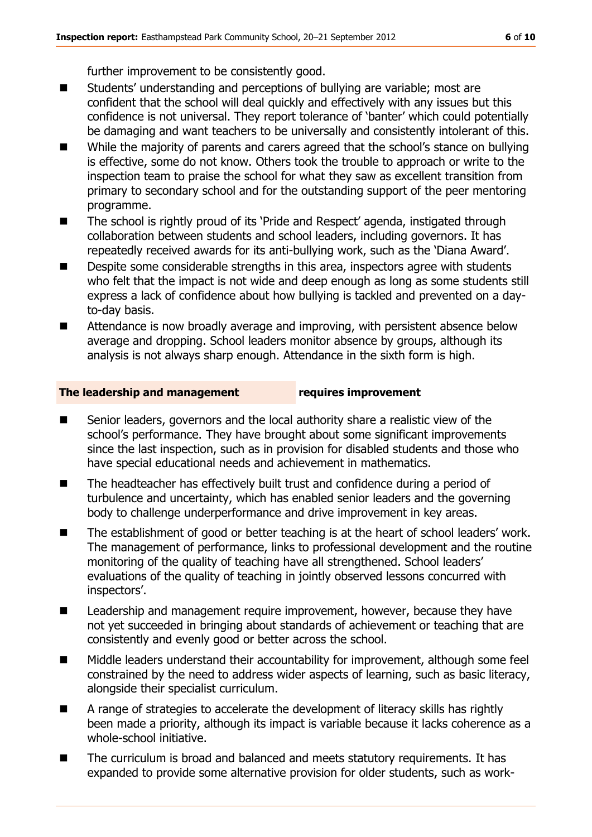further improvement to be consistently good.

- Students' understanding and perceptions of bullying are variable; most are confident that the school will deal quickly and effectively with any issues but this confidence is not universal. They report tolerance of 'banter' which could potentially be damaging and want teachers to be universally and consistently intolerant of this.
- While the majority of parents and carers agreed that the school's stance on bullying is effective, some do not know. Others took the trouble to approach or write to the inspection team to praise the school for what they saw as excellent transition from primary to secondary school and for the outstanding support of the peer mentoring programme.
- The school is rightly proud of its 'Pride and Respect' agenda, instigated through collaboration between students and school leaders, including governors. It has repeatedly received awards for its anti-bullying work, such as the 'Diana Award'.
- Despite some considerable strengths in this area, inspectors agree with students who felt that the impact is not wide and deep enough as long as some students still express a lack of confidence about how bullying is tackled and prevented on a dayto-day basis.
- Attendance is now broadly average and improving, with persistent absence below average and dropping. School leaders monitor absence by groups, although its analysis is not always sharp enough. Attendance in the sixth form is high.

#### **The leadership and management requires improvement**

- Senior leaders, governors and the local authority share a realistic view of the school's performance. They have brought about some significant improvements since the last inspection, such as in provision for disabled students and those who have special educational needs and achievement in mathematics.
- The headteacher has effectively built trust and confidence during a period of turbulence and uncertainty, which has enabled senior leaders and the governing body to challenge underperformance and drive improvement in key areas.
- The establishment of good or better teaching is at the heart of school leaders' work. The management of performance, links to professional development and the routine monitoring of the quality of teaching have all strengthened. School leaders' evaluations of the quality of teaching in jointly observed lessons concurred with inspectors'.
- Leadership and management require improvement, however, because they have not yet succeeded in bringing about standards of achievement or teaching that are consistently and evenly good or better across the school.
- Middle leaders understand their accountability for improvement, although some feel constrained by the need to address wider aspects of learning, such as basic literacy, alongside their specialist curriculum.
- A range of strategies to accelerate the development of literacy skills has rightly been made a priority, although its impact is variable because it lacks coherence as a whole-school initiative.
- The curriculum is broad and balanced and meets statutory requirements. It has expanded to provide some alternative provision for older students, such as work-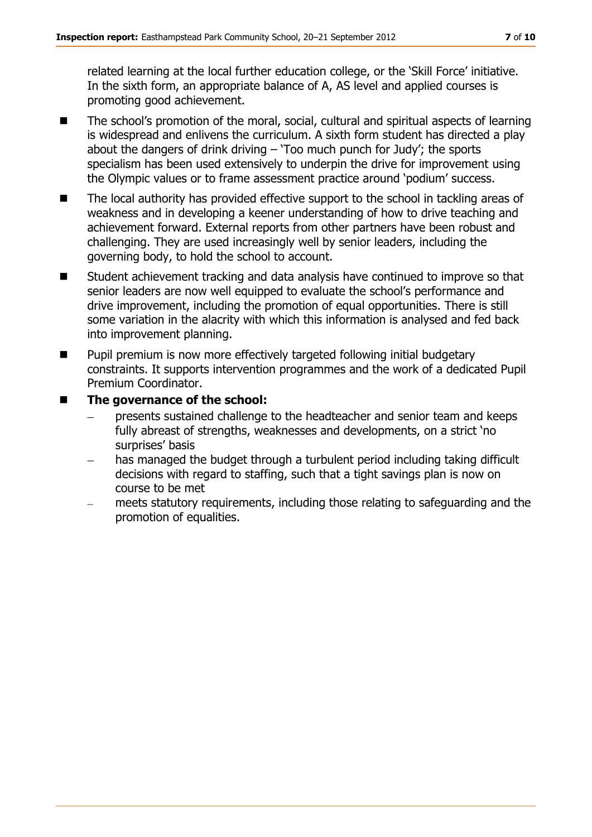related learning at the local further education college, or the 'Skill Force' initiative. In the sixth form, an appropriate balance of A, AS level and applied courses is promoting good achievement.

- The school's promotion of the moral, social, cultural and spiritual aspects of learning is widespread and enlivens the curriculum. A sixth form student has directed a play about the dangers of drink driving  $-$  'Too much punch for Judy'; the sports specialism has been used extensively to underpin the drive for improvement using the Olympic values or to frame assessment practice around 'podium' success.
- The local authority has provided effective support to the school in tackling areas of weakness and in developing a keener understanding of how to drive teaching and achievement forward. External reports from other partners have been robust and challenging. They are used increasingly well by senior leaders, including the governing body, to hold the school to account.
- Student achievement tracking and data analysis have continued to improve so that senior leaders are now well equipped to evaluate the school's performance and drive improvement, including the promotion of equal opportunities. There is still some variation in the alacrity with which this information is analysed and fed back into improvement planning.
- **Pupil premium is now more effectively targeted following initial budgetary** constraints. It supports intervention programmes and the work of a dedicated Pupil Premium Coordinator.
- The governance of the school:
	- presents sustained challenge to the headteacher and senior team and keeps fully abreast of strengths, weaknesses and developments, on a strict 'no surprises' basis
	- has managed the budget through a turbulent period including taking difficult  $\equiv$ decisions with regard to staffing, such that a tight savings plan is now on course to be met
	- meets statutory requirements, including those relating to safeguarding and the promotion of equalities.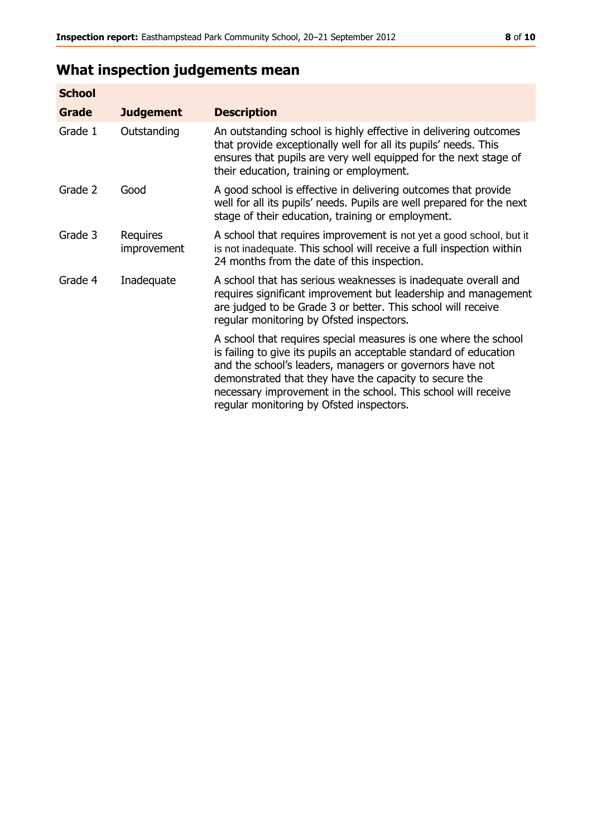# **What inspection judgements mean**

| <b>School</b> |                         |                                                                                                                                                                                                                                                                                                                                                                         |
|---------------|-------------------------|-------------------------------------------------------------------------------------------------------------------------------------------------------------------------------------------------------------------------------------------------------------------------------------------------------------------------------------------------------------------------|
| Grade         | <b>Judgement</b>        | <b>Description</b>                                                                                                                                                                                                                                                                                                                                                      |
| Grade 1       | Outstanding             | An outstanding school is highly effective in delivering outcomes<br>that provide exceptionally well for all its pupils' needs. This<br>ensures that pupils are very well equipped for the next stage of<br>their education, training or employment.                                                                                                                     |
| Grade 2       | Good                    | A good school is effective in delivering outcomes that provide<br>well for all its pupils' needs. Pupils are well prepared for the next<br>stage of their education, training or employment.                                                                                                                                                                            |
| Grade 3       | Requires<br>improvement | A school that requires improvement is not yet a good school, but it<br>is not inadequate. This school will receive a full inspection within<br>24 months from the date of this inspection.                                                                                                                                                                              |
| Grade 4       | Inadequate              | A school that has serious weaknesses is inadequate overall and<br>requires significant improvement but leadership and management<br>are judged to be Grade 3 or better. This school will receive<br>regular monitoring by Ofsted inspectors.                                                                                                                            |
|               |                         | A school that requires special measures is one where the school<br>is failing to give its pupils an acceptable standard of education<br>and the school's leaders, managers or governors have not<br>demonstrated that they have the capacity to secure the<br>necessary improvement in the school. This school will receive<br>regular monitoring by Ofsted inspectors. |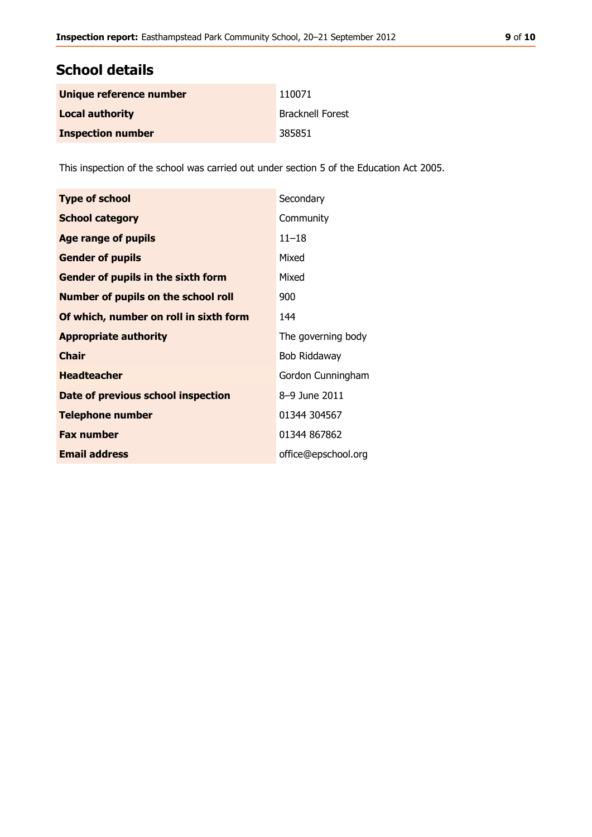### **School details**

| Unique reference number  | 110071                  |
|--------------------------|-------------------------|
| <b>Local authority</b>   | <b>Bracknell Forest</b> |
| <b>Inspection number</b> | 385851                  |

This inspection of the school was carried out under section 5 of the Education Act 2005.

| <b>Type of school</b>                      | Secondary           |
|--------------------------------------------|---------------------|
| <b>School category</b>                     | Community           |
| <b>Age range of pupils</b>                 | $11 - 18$           |
| <b>Gender of pupils</b>                    | Mixed               |
| Gender of pupils in the sixth form         | Mixed               |
| <b>Number of pupils on the school roll</b> | 900                 |
| Of which, number on roll in sixth form     | 144                 |
| <b>Appropriate authority</b>               | The governing body  |
| <b>Chair</b>                               | Bob Riddaway        |
| <b>Headteacher</b>                         | Gordon Cunningham   |
| Date of previous school inspection         | 8-9 June 2011       |
| <b>Telephone number</b>                    | 01344 304567        |
| <b>Fax number</b>                          | 01344 867862        |
| <b>Email address</b>                       | office@epschool.org |